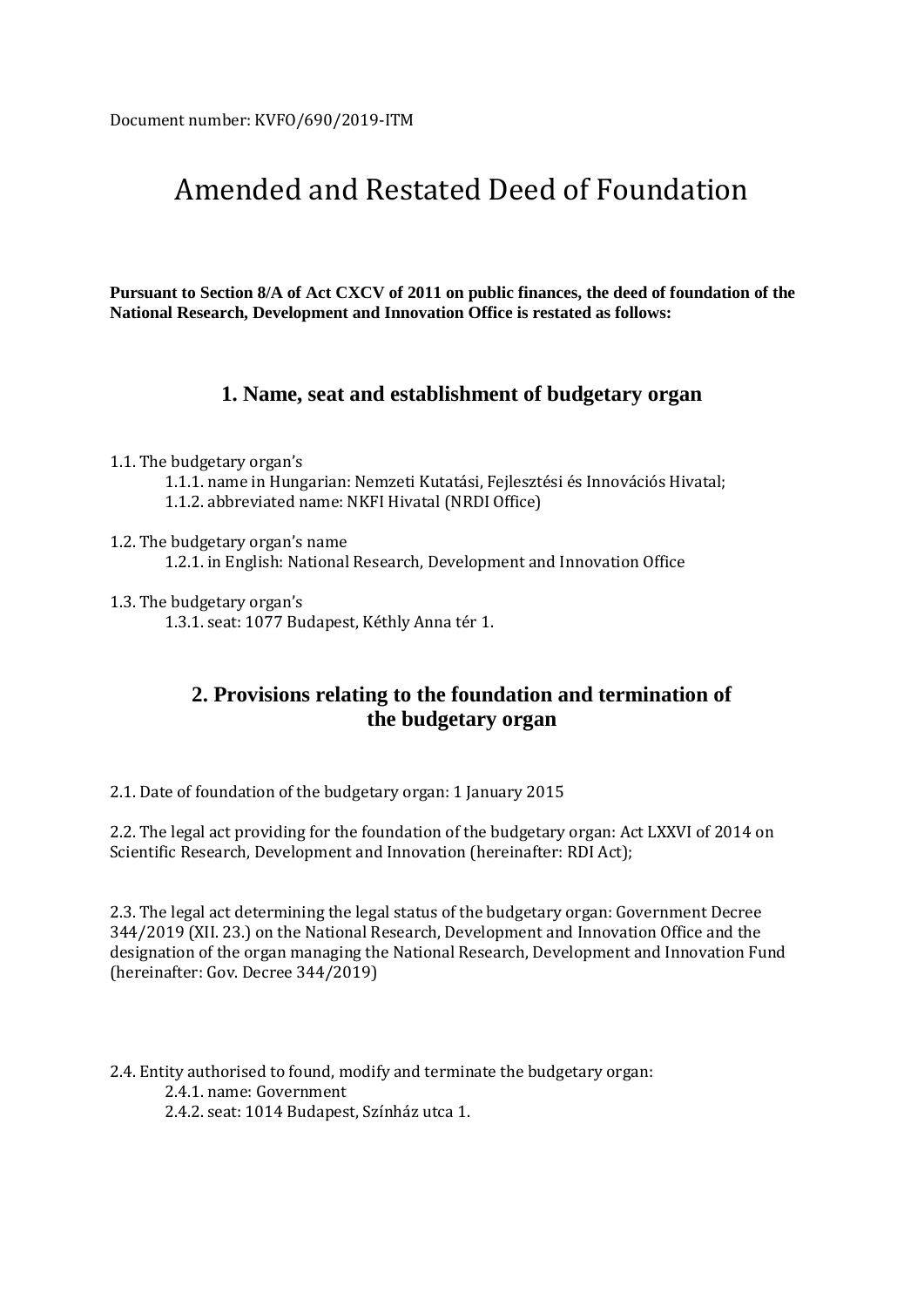# Amended and Restated Deed of Foundation

**Pursuant to Section 8/A of Act CXCV of 2011 on public finances, the deed of foundation of the National Research, Development and Innovation Office is restated as follows:**

#### **1. Name, seat and establishment of budgetary organ**

1.1. The budgetary organ's

1.1.1. name in Hungarian: Nemzeti Kutatási, Fejlesztési és Innovációs Hivatal;

1.1.2. abbreviated name: NKFI Hivatal (NRDI Office)

1.2. The budgetary organ's name

1.2.1. in English: National Research, Development and Innovation Office

1.3. The budgetary organ's

1.3.1. seat: 1077 Budapest, Kéthly Anna tér 1.

### **2. Provisions relating to the foundation and termination of the budgetary organ**

2.1. Date of foundation of the budgetary organ: 1 January 2015

2.2. The legal act providing for the foundation of the budgetary organ: Act LXXVI of 2014 on Scientific Research, Development and Innovation (hereinafter: RDI Act);

2.3. The legal act determining the legal status of the budgetary organ: Government Decree 344/2019 (XII. 23.) on the National Research, Development and Innovation Office and the designation of the organ managing the National Research, Development and Innovation Fund (hereinafter: Gov. Decree 344/2019)

2.4. Entity authorised to found, modify and terminate the budgetary organ: 2.4.1. name: Government 2.4.2. seat: 1014 Budapest, Színház utca 1.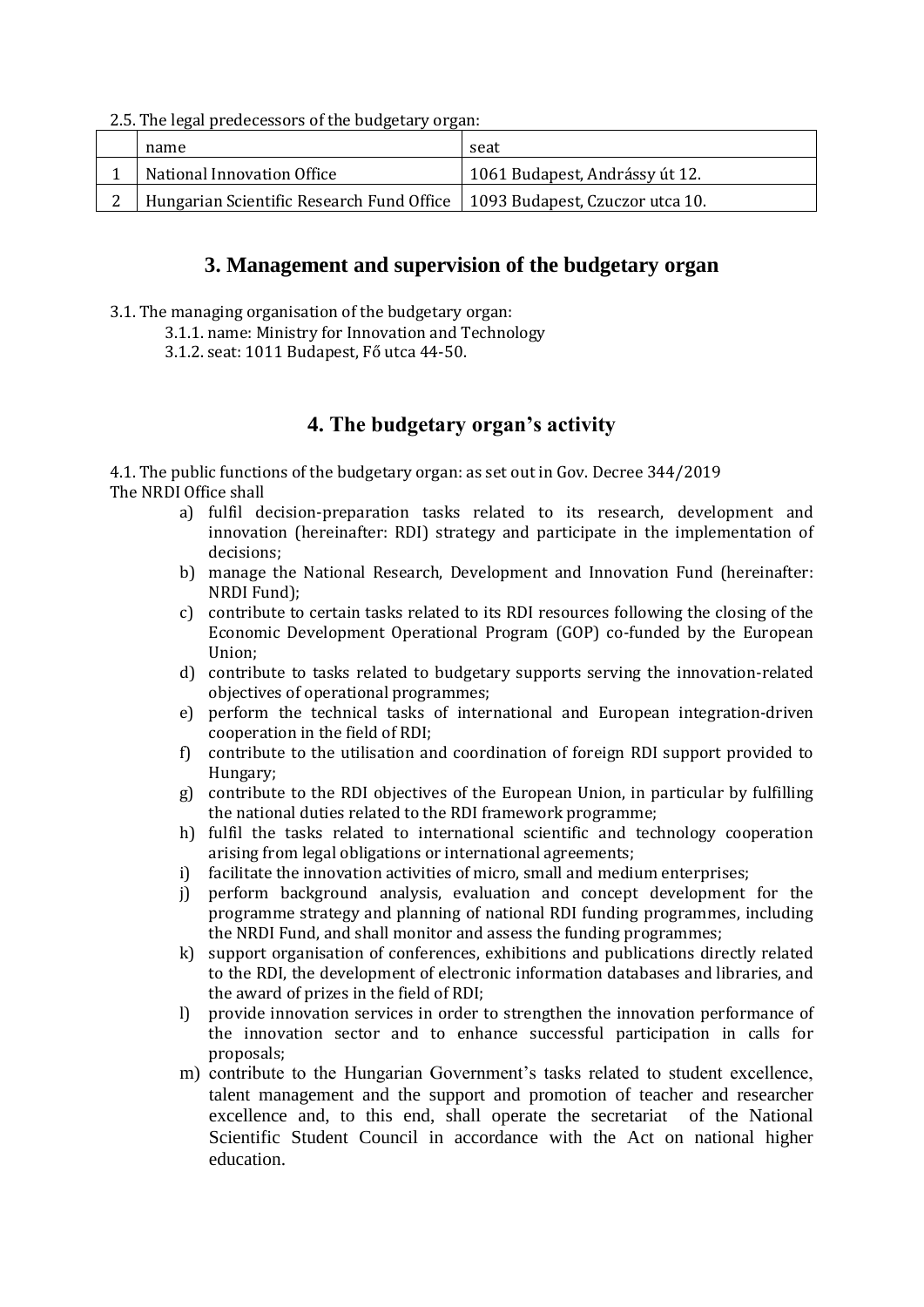2.5. The legal predecessors of the budgetary organ:

| name                                                                        | seat                           |
|-----------------------------------------------------------------------------|--------------------------------|
| National Innovation Office                                                  | 1061 Budapest, Andrássy út 12. |
| Hungarian Scientific Research Fund Office   1093 Budapest, Czuczor utca 10. |                                |
|                                                                             |                                |

#### **3. Management and supervision of the budgetary organ**

- 3.1. The managing organisation of the budgetary organ:
	- 3.1.1. name: Ministry for Innovation and Technology
	- 3.1.2. seat: 1011 Budapest, Fő utca 44-50.

## **4. The budgetary organ's activity**

4.1. The public functions of the budgetary organ: as set out in Gov. Decree 344/2019 The NRDI Office shall

- a) fulfil decision-preparation tasks related to its research, development and innovation (hereinafter: RDI) strategy and participate in the implementation of decisions;
- b) manage the National Research, Development and Innovation Fund (hereinafter: NRDI Fund);
- c) contribute to certain tasks related to its RDI resources following the closing of the Economic Development Operational Program (GOP) co-funded by the European Union;
- d) contribute to tasks related to budgetary supports serving the innovation-related objectives of operational programmes;
- e) perform the technical tasks of international and European integration-driven cooperation in the field of RDI;
- f) contribute to the utilisation and coordination of foreign RDI support provided to Hungary;
- g) contribute to the RDI objectives of the European Union, in particular by fulfilling the national duties related to the RDI framework programme;
- h) fulfil the tasks related to international scientific and technology cooperation arising from legal obligations or international agreements;
- i) facilitate the innovation activities of micro, small and medium enterprises;
- j) perform background analysis, evaluation and concept development for the programme strategy and planning of national RDI funding programmes, including the NRDI Fund, and shall monitor and assess the funding programmes;
- k) support organisation of conferences, exhibitions and publications directly related to the RDI, the development of electronic information databases and libraries, and the award of prizes in the field of RDI;
- l) provide innovation services in order to strengthen the innovation performance of the innovation sector and to enhance successful participation in calls for proposals;
- m) contribute to the Hungarian Government's tasks related to student excellence, talent management and the support and promotion of teacher and researcher excellence and, to this end, shall operate the secretariat of the National Scientific Student Council in accordance with the Act on national higher education.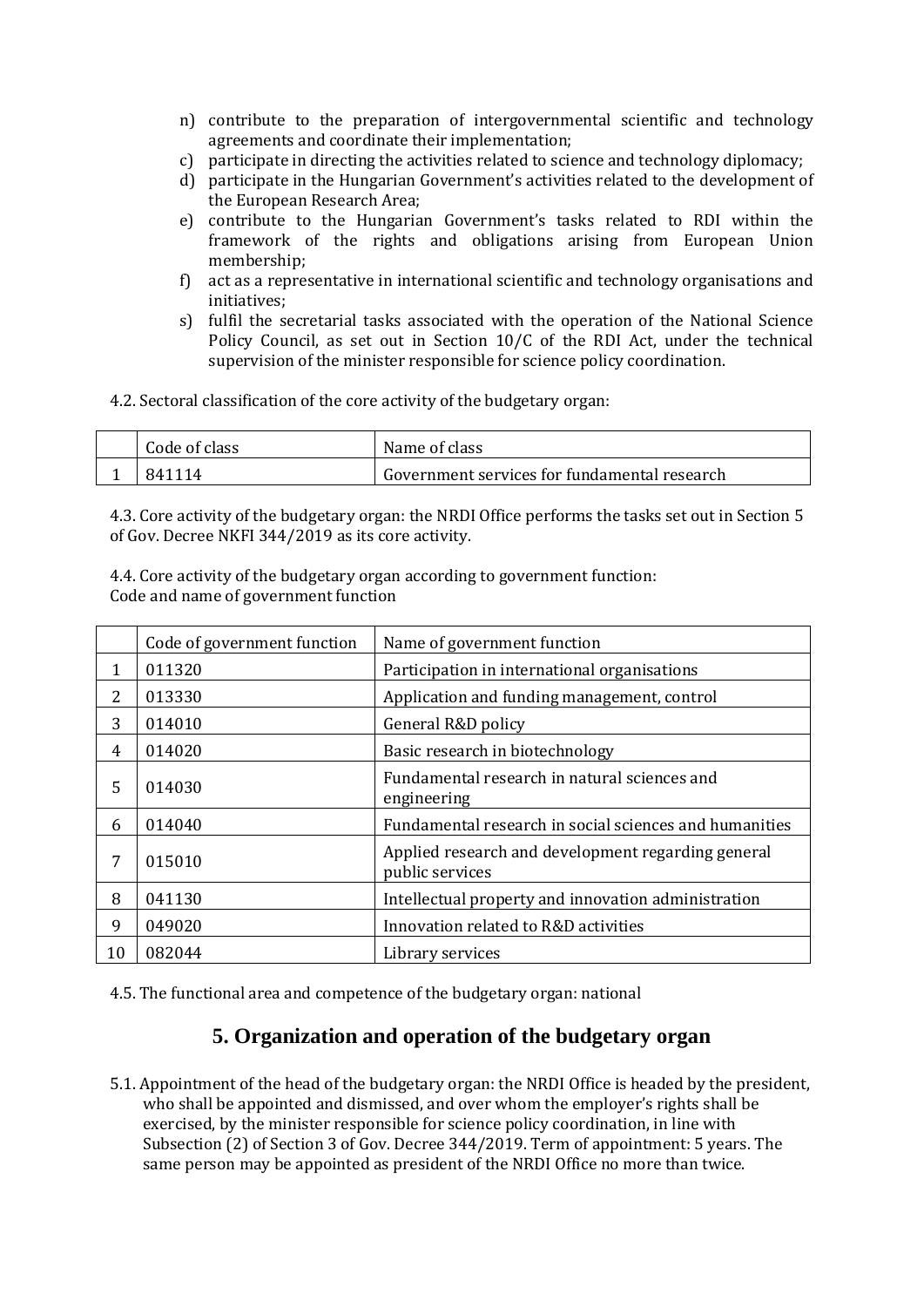- n) contribute to the preparation of intergovernmental scientific and technology agreements and coordinate their implementation;
- c) participate in directing the activities related to science and technology diplomacy;
- d) participate in the Hungarian Government's activities related to the development of the European Research Area;
- e) contribute to the Hungarian Government's tasks related to RDI within the framework of the rights and obligations arising from European Union membership;
- f) act as a representative in international scientific and technology organisations and initiatives;
- s) fulfil the secretarial tasks associated with the operation of the National Science Policy Council, as set out in Section 10/C of the RDI Act, under the technical supervision of the minister responsible for science policy coordination.
- 4.2. Sectoral classification of the core activity of the budgetary organ:

| Code of class | Name of class                                |
|---------------|----------------------------------------------|
| 841114        | Government services for fundamental research |

4.3. Core activity of the budgetary organ: the NRDI Office performs the tasks set out in Section 5 of Gov. Decree NKFI 344/2019 as its core activity.

4.4. Core activity of the budgetary organ according to government function: Code and name of government function

|    | Code of government function | Name of government function                                           |
|----|-----------------------------|-----------------------------------------------------------------------|
|    | 011320                      | Participation in international organisations                          |
| 2  | 013330                      | Application and funding management, control                           |
| 3  | 014010                      | General R&D policy                                                    |
| 4  | 014020                      | Basic research in biotechnology                                       |
| 5  | 014030                      | Fundamental research in natural sciences and<br>engineering           |
| 6  | 014040                      | Fundamental research in social sciences and humanities                |
| 7  | 015010                      | Applied research and development regarding general<br>public services |
| 8  | 041130                      | Intellectual property and innovation administration                   |
| 9  | 049020                      | Innovation related to R&D activities                                  |
| 10 | 082044                      | Library services                                                      |

4.5. The functional area and competence of the budgetary organ: national

### **5. Organization and operation of the budgetary organ**

5.1. Appointment of the head of the budgetary organ: the NRDI Office is headed by the president, who shall be appointed and dismissed, and over whom the employer's rights shall be exercised, by the minister responsible for science policy coordination, in line with Subsection (2) of Section 3 of Gov. Decree 344/2019. Term of appointment: 5 years. The same person may be appointed as president of the NRDI Office no more than twice.